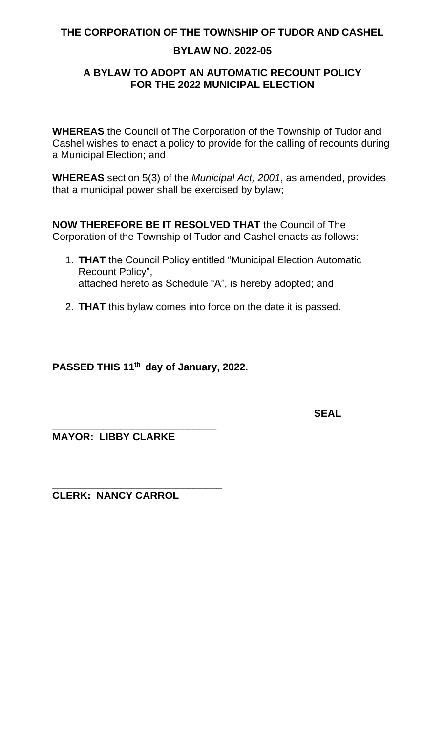# **BYLAW NO. 2022-05**

# **A BYLAW TO ADOPT AN AUTOMATIC RECOUNT POLICY FOR THE 2022 MUNICIPAL ELECTION**

**WHEREAS** the Council of The Corporation of the Township of Tudor and Cashel wishes to enact a policy to provide for the calling of recounts during a Municipal Election; and

**WHEREAS** section 5(3) of the *Municipal Act, 2001*, as amended, provides that a municipal power shall be exercised by bylaw;

**NOW THEREFORE BE IT RESOLVED THAT** the Council of The Corporation of the Township of Tudor and Cashel enacts as follows:

- 1. **THAT** the Council Policy entitled "Municipal Election Automatic Recount Policy", attached hereto as Schedule "A", is hereby adopted; and
- 2. **THAT** this bylaw comes into force on the date it is passed.

**PASSED THIS 11th day of January, 2022.**

**SEAL**

**\_\_\_\_\_\_\_\_\_\_\_\_\_\_\_\_\_\_\_\_\_\_\_\_\_\_\_\_\_ MAYOR: LIBBY CLARKE**

**\_\_\_\_\_\_\_\_\_\_\_\_\_\_\_\_\_\_\_\_\_\_\_\_\_\_\_\_\_\_ CLERK: NANCY CARROL**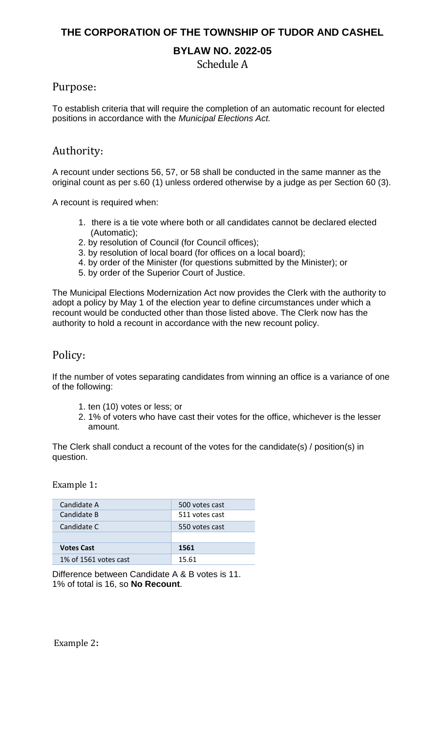# **BYLAW NO. 2022-05**

Schedule A

### Purpose**:**

To establish criteria that will require the completion of an automatic recount for elected positions in accordance with the *Municipal Elections Act.*

# Authority**:**

A recount under sections 56, 57, or 58 shall be conducted in the same manner as the original count as per s.60 (1) unless ordered otherwise by a judge as per Section 60 (3).

A recount is required when:

- 1. there is a tie vote where both or all candidates cannot be declared elected (Automatic);
- 2. by resolution of Council (for Council offices);
- 3. by resolution of local board (for offices on a local board);
- 4. by order of the Minister (for questions submitted by the Minister); or
- 5. by order of the Superior Court of Justice.

The Municipal Elections Modernization Act now provides the Clerk with the authority to adopt a policy by May 1 of the election year to define circumstances under which a recount would be conducted other than those listed above. The Clerk now has the authority to hold a recount in accordance with the new recount policy.

# Policy**:**

If the number of votes separating candidates from winning an office is a variance of one of the following:

- 1. ten (10) votes or less; or
- 2. 1% of voters who have cast their votes for the office, whichever is the lesser amount.

The Clerk shall conduct a recount of the votes for the candidate(s) / position(s) in question.

Example 1**:**

| Candidate A           | 500 votes cast |
|-----------------------|----------------|
| Candidate B           | 511 votes cast |
| Candidate C           | 550 votes cast |
|                       |                |
| <b>Votes Cast</b>     | 1561           |
| 1% of 1561 votes cast | 15.61          |

Difference between Candidate A & B votes is 11. 1% of total is 16, so **No Recount**.

Example 2**:**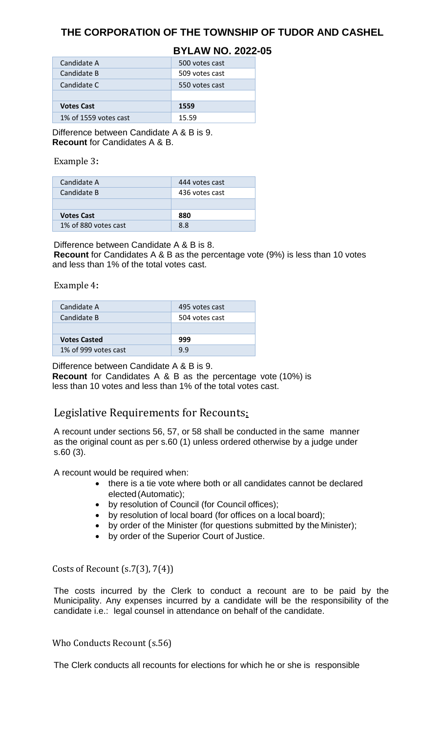### **BYLAW NO. 2022-05**

| 500 votes cast |
|----------------|
| 509 votes cast |
| 550 votes cast |
|                |
| 1559           |
| 15.59          |
|                |

Difference between Candidate A & B is 9. **Recount** for Candidates A & B.

### Example 3**:**

| Candidate A          | 444 votes cast |
|----------------------|----------------|
| Candidate B          | 436 votes cast |
|                      |                |
| <b>Votes Cast</b>    | 880            |
| 1% of 880 votes cast | 88             |

Difference between Candidate A & B is 8.

**Recount** for Candidates A & B as the percentage vote (9%) is less than 10 votes and less than 1% of the total votes cast.

#### Example 4**:**

| Candidate A          | 495 votes cast |
|----------------------|----------------|
| Candidate B          | 504 votes cast |
|                      |                |
| <b>Votes Casted</b>  | 999            |
| 1% of 999 votes cast | 9.9            |

Difference between Candidate A & B is 9.

**Recount** for Candidates A & B as the percentage vote (10%) is less than 10 votes and less than 1% of the total votes cast.

# Legislative Requirements for Recounts**:**

A recount under sections 56, 57, or 58 shall be conducted in the same manner as the original count as per s.60 (1) unless ordered otherwise by a judge under s.60 (3).

A recount would be required when:

- there is a tie vote where both or all candidates cannot be declared elected(Automatic);
- by resolution of Council (for Council offices);
- by resolution of local board (for offices on a local board);
- by order of the Minister (for questions submitted by the Minister);
- by order of the Superior Court of Justice.

### Costs of Recount (s.7(3), 7(4))

The costs incurred by the Clerk to conduct a recount are to be paid by the Municipality. Any expenses incurred by a candidate will be the responsibility of the candidate i.e.: legal counsel in attendance on behalf of the candidate.

Who Conducts Recount (s.56)

The Clerk conducts all recounts for elections for which he or she is responsible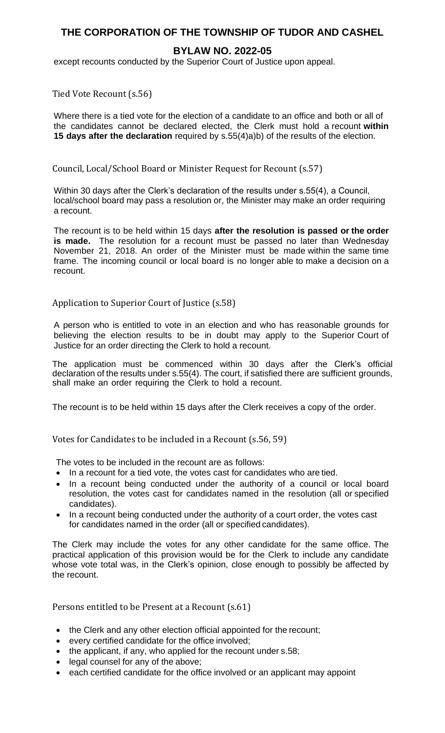### **BYLAW NO. 2022-05**

except recounts conducted by the Superior Court of Justice upon appeal.

Tied Vote Recount (s.56)

Where there is a tied vote for the election of a candidate to an office and both or all of the candidates cannot be declared elected, the Clerk must hold a recount **within 15 days after the declaration** required by s.55(4)a)b) of the results of the election.

Council, Local/School Board or Minister Request for Recount (s.57)

Within 30 days after the Clerk's declaration of the results under s.55(4), a Council, local/school board may pass a resolution or, the Minister may make an order requiring a recount.

The recount is to be held within 15 days **after the resolution is passed or the order is made.** The resolution for a recount must be passed no later than Wednesday November 21, 2018. An order of the Minister must be made within the same time frame. The incoming council or local board is no longer able to make a decision on a recount.

### Application to Superior Court of Justice (s.58)

A person who is entitled to vote in an election and who has reasonable grounds for believing the election results to be in doubt may apply to the Superior Court of Justice for an order directing the Clerk to hold a recount.

The application must be commenced within 30 days after the Clerk's official declaration of the results under s.55(4). The court, if satisfied there are sufficient grounds, shall make an order requiring the Clerk to hold a recount.

The recount is to be held within 15 days after the Clerk receives a copy of the order.

Votes for Candidates to be included in a Recount (s.56, 59)

The votes to be included in the recount are as follows:

- In a recount for a tied vote, the votes cast for candidates who are tied.
- In a recount being conducted under the authority of a council or local board resolution, the votes cast for candidates named in the resolution (all or specified candidates).
- In a recount being conducted under the authority of a court order, the votes cast for candidates named in the order (all or specified candidates).

The Clerk may include the votes for any other candidate for the same office. The practical application of this provision would be for the Clerk to include any candidate whose vote total was, in the Clerk's opinion, close enough to possibly be affected by the recount.

Persons entitled to be Present at a Recount (s.61)

- the Clerk and any other election official appointed for the recount;
- every certified candidate for the office involved;
- the applicant, if any, who applied for the recount under s.58;
- legal counsel for any of the above;
- each certified candidate for the office involved or an applicant may appoint